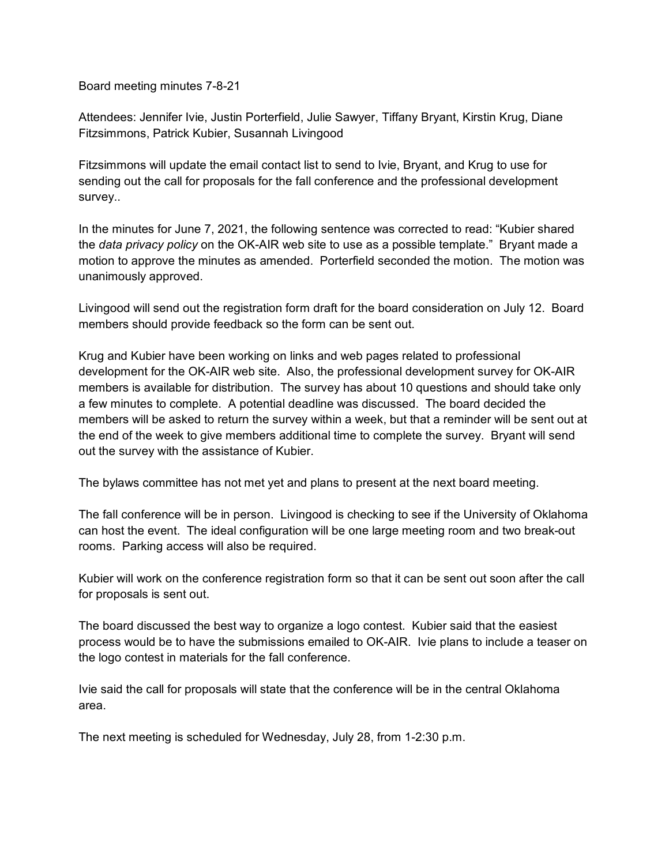Board meeting minutes 7-8-21

Attendees: Jennifer Ivie, Justin Porterfield, Julie Sawyer, Tiffany Bryant, Kirstin Krug, Diane Fitzsimmons, Patrick Kubier, Susannah Livingood

Fitzsimmons will update the email contact list to send to Ivie, Bryant, and Krug to use for sending out the call for proposals for the fall conference and the professional development survey..

In the minutes for June 7, 2021, the following sentence was corrected to read: "Kubier shared the *data privacy policy* on the OK-AIR web site to use as a possible template." Bryant made a motion to approve the minutes as amended. Porterfield seconded the motion. The motion was unanimously approved.

Livingood will send out the registration form draft for the board consideration on July 12. Board members should provide feedback so the form can be sent out.

Krug and Kubier have been working on links and web pages related to professional development for the OK-AIR web site. Also, the professional development survey for OK-AIR members is available for distribution. The survey has about 10 questions and should take only a few minutes to complete. A potential deadline was discussed. The board decided the members will be asked to return the survey within a week, but that a reminder will be sent out at the end of the week to give members additional time to complete the survey. Bryant will send out the survey with the assistance of Kubier.

The bylaws committee has not met yet and plans to present at the next board meeting.

The fall conference will be in person. Livingood is checking to see if the University of Oklahoma can host the event. The ideal configuration will be one large meeting room and two break-out rooms. Parking access will also be required.

Kubier will work on the conference registration form so that it can be sent out soon after the call for proposals is sent out.

The board discussed the best way to organize a logo contest. Kubier said that the easiest process would be to have the submissions emailed to OK-AIR. Ivie plans to include a teaser on the logo contest in materials for the fall conference.

Ivie said the call for proposals will state that the conference will be in the central Oklahoma area.

The next meeting is scheduled for Wednesday, July 28, from 1-2:30 p.m.